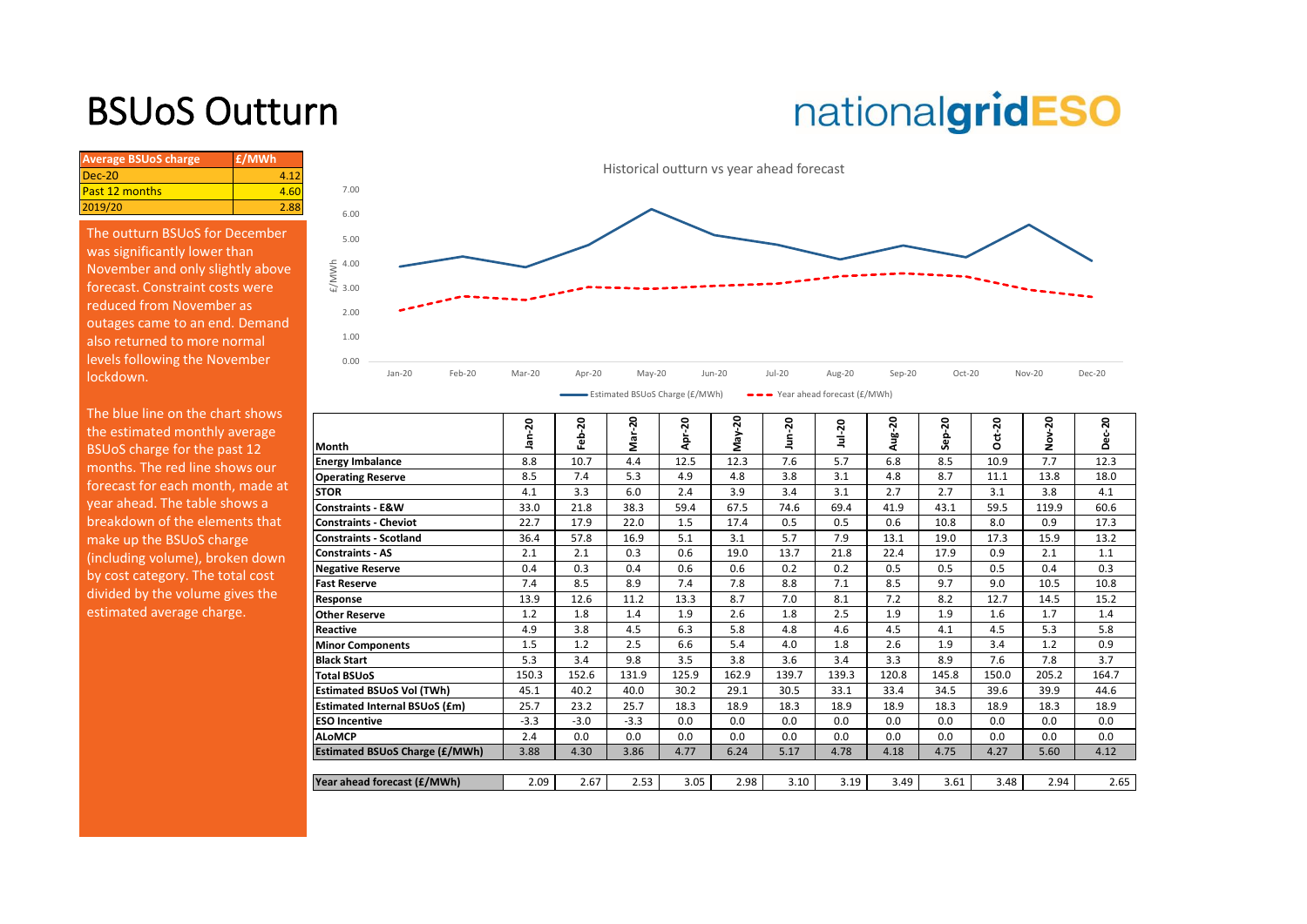### BSUoS Outturn

# nationalgridESO

| <b>Average BSUoS charge</b> | £/MWh |
|-----------------------------|-------|
| $Dec-20$                    | 4.12  |
| <b>Past 12 months</b>       | 4.60  |
| 2019/20                     | 2.88  |
|                             |       |

The outturn BSUoS for December was significantly lower than November and only slightly above forecast. Constraint costs were reduced from November as outages came to an end. Demand also returned to more normal levels following the November lockdown.

The blue line on the chart shows the estimated monthly average BSUoS charge for the past 12 months. The red line shows our forecast for each month, made at year ahead. The table shows a breakdown of the elements that make up the BSUoS charge (including volume), broken down by cost category. The total cost divided by the volume gives the estimated average charge.



| Month                                 | ã      | م.     | ga     | o<br>ā   |       | 혹        |       | Aug-   | ஃ     | ÷<br>o | ð<br>ż | ន<br>$\circ$ |
|---------------------------------------|--------|--------|--------|----------|-------|----------|-------|--------|-------|--------|--------|--------------|
| <b>Energy Imbalance</b>               | 8.8    | 10.7   | 4.4    | 12.5     | 12.3  | 7.6      | 5.7   | 6.8    | 8.5   | 10.9   | 7.7    | 12.3         |
| <b>Operating Reserve</b>              | 8.5    | 7.4    | 5.3    | 4.9      | 4.8   | 3.8      | 3.1   | 4.8    | 8.7   | 11.1   | 13.8   | 18.0         |
| <b>STOR</b>                           | 4.1    | 3.3    | 6.0    | 2.4      | 3.9   | 3.4      | 3.1   | 2.7    | 2.7   | 3.1    | 3.8    | 4.1          |
| <b>Constraints - E&amp;W</b>          | 33.0   | 21.8   | 38.3   | 59.4     | 67.5  | 74.6     | 69.4  | 41.9   | 43.1  | 59.5   | 119.9  | 60.6         |
| <b>Constraints - Cheviot</b>          | 22.7   | 17.9   | 22.0   | 1.5      | 17.4  | 0.5      | 0.5   | 0.6    | 10.8  | 8.0    | 0.9    | 17.3         |
| <b>Constraints - Scotland</b>         | 36.4   | 57.8   | 16.9   | 5.1      | 3.1   | 5.7      | 7.9   | 13.1   | 19.0  | 17.3   | 15.9   | 13.2         |
| <b>Constraints - AS</b>               | 2.1    | 2.1    | 0.3    | 0.6      | 19.0  | 13.7     | 21.8  | 22.4   | 17.9  | 0.9    | 2.1    | 1.1          |
| <b>Negative Reserve</b>               | 0.4    | 0.3    | 0.4    | 0.6      | 0.6   | 0.2      | 0.2   | 0.5    | 0.5   | 0.5    | 0.4    | 0.3          |
| <b>Fast Reserve</b>                   | 7.4    | 8.5    | 8.9    | 7.4      | 7.8   | 8.8      | 7.1   | 8.5    | 9.7   | 9.0    | 10.5   | 10.8         |
| Response                              | 13.9   | 12.6   | 11.2   | 13.3     | 8.7   | 7.0      | 8.1   | 7.2    | 8.2   | 12.7   | 14.5   | 15.2         |
| <b>Other Reserve</b>                  | 1.2    | 1.8    | 1.4    | 1.9      | 2.6   | 1.8      | 2.5   | 1.9    | 1.9   | 1.6    | 1.7    | 1.4          |
| Reactive                              | 4.9    | 3.8    | 4.5    | 6.3      | 5.8   | 4.8      | 4.6   | 4.5    | 4.1   | 4.5    | 5.3    | 5.8          |
| <b>Minor Components</b>               | 1.5    | 1.2    | 2.5    | 6.6      | 5.4   | 4.0      | 1.8   | 2.6    | 1.9   | 3.4    | 1.2    | 0.9          |
| <b>Black Start</b>                    | 5.3    | 3.4    | 9.8    | 3.5      | 3.8   | 3.6      | 3.4   | 3.3    | 8.9   | 7.6    | 7.8    | 3.7          |
| <b>Total BSUoS</b>                    | 150.3  | 152.6  | 131.9  | 125.9    | 162.9 | 139.7    | 139.3 | 120.8  | 145.8 | 150.0  | 205.2  | 164.7        |
| <b>Estimated BSUoS Vol (TWh)</b>      | 45.1   | 40.2   | 40.0   | 30.2     | 29.1  | 30.5     | 33.1  | 33.4   | 34.5  | 39.6   | 39.9   | 44.6         |
| <b>Estimated Internal BSUoS (£m)</b>  | 25.7   | 23.2   | 25.7   | 18.3     | 18.9  | 18.3     | 18.9  | 18.9   | 18.3  | 18.9   | 18.3   | 18.9         |
| <b>ESO Incentive</b>                  | $-3.3$ | $-3.0$ | $-3.3$ | 0.0      | 0.0   | 0.0      | 0.0   | 0.0    | 0.0   | 0.0    | 0.0    | 0.0          |
| <b>ALoMCP</b>                         | 2.4    | 0.0    | 0.0    | 0.0      | 0.0   | 0.0      | 0.0   | 0.0    | 0.0   | 0.0    | 0.0    | 0.0          |
| <b>Estimated BSUoS Charge (£/MWh)</b> | 3.88   | 4.30   | 3.86   | 4.77     | 6.24  | 5.17     | 4.78  | 4.18   | 4.75  | 4.27   | 5.60   | 4.12         |
|                                       |        |        |        |          |       |          |       |        |       |        |        |              |
| Year ahead forecast (£/MWh)           | 2.09   | 2.67   | 2.53   | 3.05     | 2.98  | 3.10     | 3.19  | 3.49   | 3.61  | 3.48   | 2.94   | 2.65         |
|                                       |        |        | ຊ      | ន<br>-20 | ຊ     | នុ<br>ŠΡ | ຊ     | Jul-20 |       | ຊ<br>ន | ន      | ຊ            |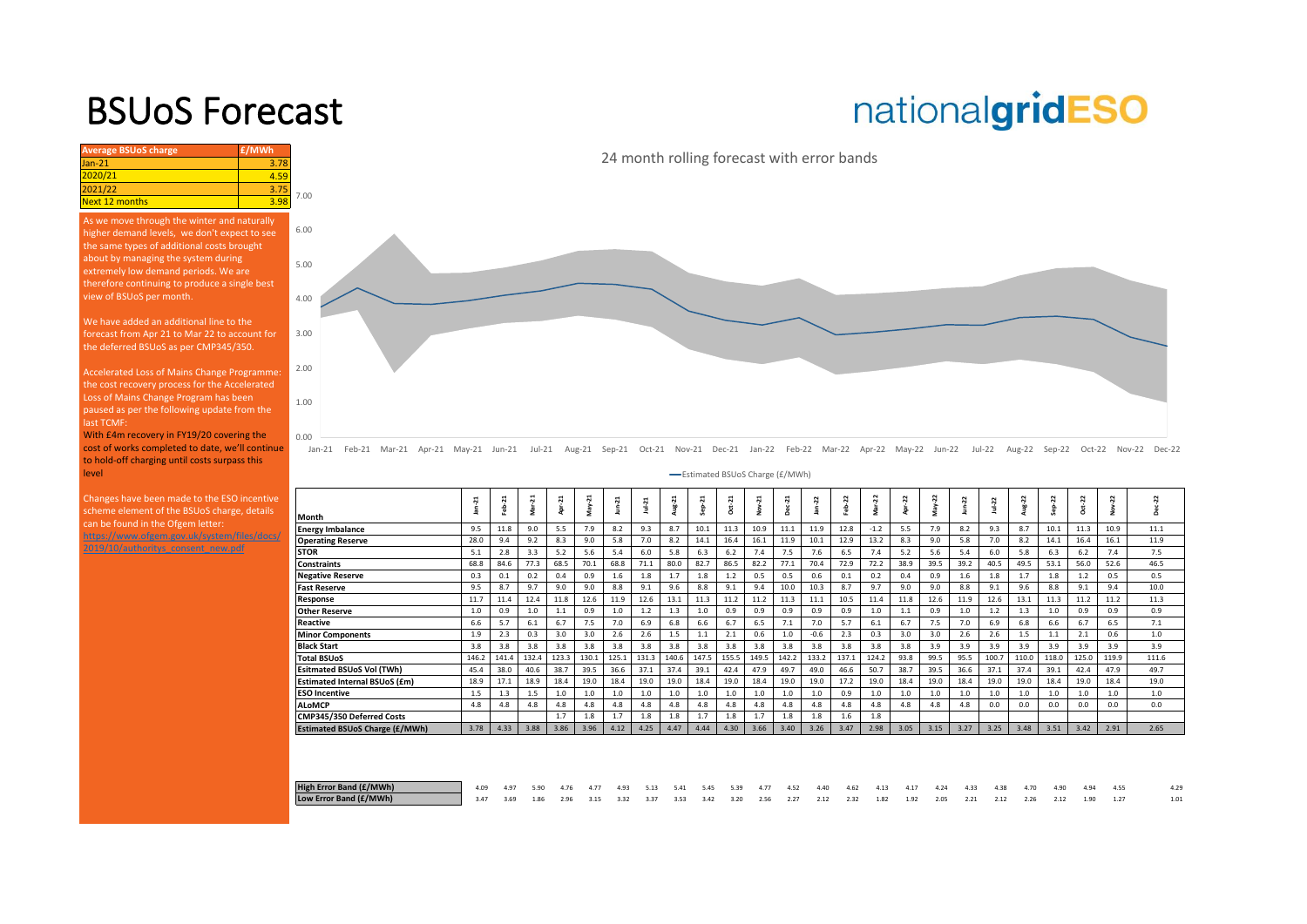#### BSUoS Forecast

## nationalgridESO

| <b>Average BSUoS charge</b> | £/MWh |      |
|-----------------------------|-------|------|
| $Jan-21$                    | 3.78  |      |
| 2020/21                     | 4.59  |      |
| 2021/22                     | 3.75  | 7.00 |
| Next 12 months              | 3.98  |      |

As we move through the winter and naturally higher demand levels, we don't expect to see the same types of additional costs brought about by managing the system during extremely low demand periods. We are therefore continuing to produce a single best view of BSUoS per month.

We have added an additional line to the forecast from Apr 21 to Mar 22 to account for the deferred BSUoS as per CMP345/350.

Accelerated Loss of Mains Change Programme: the cost recovery process for the Accelerated Loss of Mains Change Program has been paused as per the following update from the last TCMF:

With £4m recovery in FY19/20 covering the [cost of works completed to date, we'll continue](https://www.nationalgrideso.com/charging/balancing-services-use-system-bsuos-charges)  to hold-off charging until costs surpass this level

Changes have been made to the ESO incentive scheme element of the BSUoS charge, details can be found in the Ofgem letter:

https://www.ofgem.gov.uk/system/files/docs/ 2019/10/authoritys\_consent\_new.pdf

24 month rolling forecast with error bands



Jan-21 Feb-21 Mar-21 Apr-21 May-21 Jun-21 Jul-21 Aug-21 Sep-21 Oct-21 Nov-21 Dec-21 Jan-22 Feb-22 Mar-22 Apr-22 May-22 Jun-22 Jul-22 Aug-22 Sep-22 Oct-22 Nov-22 Dec-22

Estimated BSUoS Charge (£/MWh)

|                                       | $\sim$ | $\ddot{N}$<br>숆 | ដ     | Apr-21 | ដុ<br>Μaγ | $\sim$ | ⊣<br>읰 | $\frac{2}{3}$ | ep-21 | $Oct-21$ | Ñ<br>š | н<br>$\ddot{ }$ | 2      | z<br>숆 | ನ      | 22   |      | 22   | $\sim$<br>$\overline{N}$ | 22    | 22    | 2     | ដ     |         |
|---------------------------------------|--------|-----------------|-------|--------|-----------|--------|--------|---------------|-------|----------|--------|-----------------|--------|--------|--------|------|------|------|--------------------------|-------|-------|-------|-------|---------|
| Month                                 |        |                 | Σ     |        |           |        |        |               |       |          |        | $\Omega$        |        |        |        |      |      |      |                          |       |       | ó     |       | $\circ$ |
| <b>Energy Imbalance</b>               | 9.5    | 11.8            | 9.0   | 5.5    | 7.9       | 8.2    | 9.3    | 8.7           | 10.1  | 11.3     | 10.9   | 11.1            | 11.9   | 12.8   | $-1.2$ | 5.5  | 7.9  | 8.2  | 9.3                      | 8.7   | 10.1  | 11.3  | 10.9  | 11.1    |
| <b>Operating Reserve</b>              | 28.0   | 9.4             | 9.2   | 8.3    | 9.0       | 5.8    | 7.0    | 8.2           | 14.1  | 16.4     | 16.1   | 11.9            | 10.1   | 12.9   | 13.2   | 8.3  | 9.0  | 5.8  | 7.0                      | 8.2   | 14.1  | 16.4  | 16.1  | 11.9    |
| STOR                                  | 5.1    | 2.8             | 3.3   | 5.2    | 5.6       | 5.4    | 6.0    | 5.8           | 6.3   | 6.2      | 7.4    | 7.5             | 7.6    | 6.5    | 7.4    | 5.2  | 5.6  | 5.4  | 6.0                      | 5.8   | 6.3   | 6.2   | 7.4   | 7.5     |
| <b>Constraints</b>                    | 68.8   | 84.6            | 77.3  | 68.5   | 70.1      | 68.8   | 71.1   | 80.0          | 82.7  | 86.5     | 82.2   | 77.1            | 70.4   | 72.9   | 72.2   | 38.9 | 39.5 | 39.2 | 40.5                     | 49.5  | 53.1  | 56.0  | 52.6  | 46.5    |
| <b>Negative Reserve</b>               | 0.3    | 0.1             | 0.2   | 0.4    | 0.9       | 1.6    | 1.8    |               | 1.8   | 1.2      | 0.5    | 0.5             | 0.6    | 0.1    | 0.2    | 0.4  | 0.9  | 1.6  | 1.8                      | 1.7   | 1.8   | 1.2   | 0.5   | 0.5     |
| <b>Fast Reserve</b>                   | 9.5    | 8.7             | 9.7   | 9.0    | 9.0       | 8.8    | 9.1    | 9.6           | 8.8   | 9.1      | 9.4    | 10.0            | 10.3   | 8.7    | 9.7    | 9.0  | 9.0  | 8.8  | 9.1                      | 9.6   | 8.8   | 9.1   | 9.4   | 10.0    |
| Response                              | 11.7   | 11.4            | 12.4  | 11.8   | 12.6      | 11.9   | 12.6   | 13.1          | 11.3  | 11.2     | 11.2   | 11.3            | 11.1   | 10.5   | 11.4   | 11.8 | 12.6 | 11.9 | 12.6                     | 13.1  | 11.3  | 11.2  | 11.2  | 11.3    |
| <b>Other Reserve</b>                  | 1.0    | 0.9             | 1.0   | 1.1    | 0.9       | 1.0    | 1.2    | 1.3           | 1.0   | 0.9      | 0.9    | 0.9             | 0.9    | 0.9    | 1.0    | 1.1  | 0.9  | 1.0  | 1.2                      | 1.3   | 1.0   | 0.9   | 0.9   | 0.9     |
| Reactive                              | 6.6    | 5.7             | 6.1   | 6.7    | 7.5       | 7.0    | 6.9    | 6.8           | 6.6   | 6.7      | 6.5    | 7.1             | 7.0    | 5.7    | 6.1    | 6.7  | 7.5  | 7.0  | 6.9                      | 6.8   | 6.6   | 6.7   | 6.5   | 7.1     |
| <b>Minor Components</b>               | 1.9    | 2.3             | 0.3   | 3.0    | 3.0       | 2.6    | 2.6    | 1.5           | 1.1   | 2.1      | 0.6    | 1.0             | $-0.6$ | 2.3    | 0.3    | 3.0  | 3.0  | 2.6  | 2.6                      | 1.5   | 1.1   | 2.1   | 0.6   | 1.0     |
| <b>Black Start</b>                    | 3.8    | 3.8             | 3.8   | 3.8    | 3.8       | 3.8    | 3.8    | 3.8           | 3.8   | 3.8      | 3.8    | 3.8             | 3.8    | 3.8    | 3.8    | 3.8  | 3.9  | 3.9  | 3.9                      | 3.9   | 3.9   | 3.9   | 3.9   | 3.9     |
| <b>Total BSUoS</b>                    | 146.2  | 141.4           | 132.4 | 123.3  | 130.1     | 125.1  | 131.3  | 140.6         | 147.5 | 155.5    | 149.5  | 142.2           | 133.2  | 137.1  | 124.2  | 93.8 | 99.5 | 95.5 | 100.7                    | 110.0 | 118.0 | 125.0 | 119.9 | 111.6   |
| Esitmated BSUoS Vol (TWh)             | 45.4   | 38.0            | 40.6  | 38.7   | 39.5      | 36.6   | 37.1   | 37.4          | 39.1  | 42.4     | 47.9   | 49.7            | 49.0   | 46.6   | 50.7   | 38.7 | 39.5 | 36.6 | 37.1                     | 37.4  | 39.1  | 42.4  | 47.9  | 49.7    |
| Estimated Internal BSUoS (£m)         | 18.9   | 17.1            | 18.9  | 18.4   | 19.0      | 18.4   | 19.0   | 19.0          | 18.4  | 19.0     | 18.4   | 19.0            | 19.0   | 17.2   | 19.0   | 18.4 | 19.0 | 18.4 | 19.0                     | 19.0  | 18.4  | 19.0  | 18.4  | 19.0    |
| <b>ESO Incentive</b>                  | 1.5    | 1.3             | 1.5   | 1.0    | 1.0       | 1.0    | 1.0    | 1.0           | 1.0   | 1.0      | 1.0    | 1.0             | 1.0    | 0.9    | 1.0    | 1.0  | 1.0  | 1.0  | 1.0                      | 1.0   | 1.0   | 1.0   | 1.0   | 1.0     |
| <b>ALoMCP</b>                         | 4.8    | 4.8             | 4.8   | 4.8    | 4.8       | 4.8    | 4.8    | 4.8           | 4.8   | 4.8      | 4.8    | 4.8             | 4.8    | 4.8    | 4.8    | 4.8  | 4.8  | 4.8  | 0.0                      | 0.0   | 0.0   | 0.0   | 0.0   | 0.0     |
| CMP345/350 Deferred Costs             |        |                 |       | 1.7    | 1.8       | 1.7    | 1.8    | 1.8           | 1.7   | 1.8      | 1.7    | 1.8             | 1.8    | 1.6    | 1.8    |      |      |      |                          |       |       |       |       |         |
| <b>Estimated BSUoS Charge (£/MWh)</b> | 3.78   | 4.33            | 3.88  | 3.86   | 3.96      | 4.12   | 4.25   | 4.47          | 4.44  | 4.30     | 3.66   | 3.40            | 3.26   | 3.47   | 2.98   | 3.05 | 3.15 | 3.27 | 3.25                     | 3.48  | 3.51  | 3.42  | 2.91  | 2.65    |
|                                       |        |                 |       |        |           |        |        |               |       |          |        |                 |        |        |        |      |      |      |                          |       |       |       |       |         |

| High Error Band (£/MWh) | 4.09 4.97 5.90 4.76 4.77 4.93 5.13 5.41 5.45 5.39 4.77 4.52 4.40 4.62 4.13 4.17 4.24 4.33 4.38 4.70 4.90 4.94 4.55   |  |  |  |  |  |  |  |  |  |  |  |  |
|-------------------------|----------------------------------------------------------------------------------------------------------------------|--|--|--|--|--|--|--|--|--|--|--|--|
| Low Error Band (£/MWh)  | 1 3.47 3.69 1.86 2.96 3.15 3.32 3.37 3.53 3.42 3.20 2.56 2.27 2.12 2.32 1.82 1.92 2.05 2.21 2.12 2.26 2.12 1.90 1.27 |  |  |  |  |  |  |  |  |  |  |  |  |